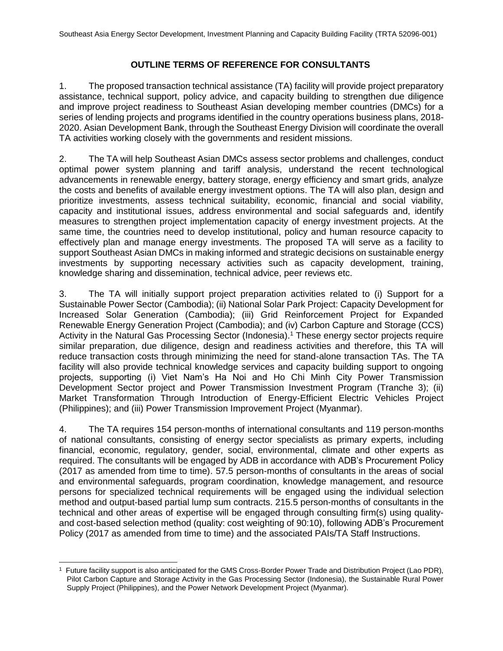#### **OUTLINE TERMS OF REFERENCE FOR CONSULTANTS**

1. The proposed transaction technical assistance (TA) facility will provide project preparatory assistance, technical support, policy advice, and capacity building to strengthen due diligence and improve project readiness to Southeast Asian developing member countries (DMCs) for a series of lending projects and programs identified in the country operations business plans, 2018- 2020. Asian Development Bank, through the Southeast Energy Division will coordinate the overall TA activities working closely with the governments and resident missions.

2. The TA will help Southeast Asian DMCs assess sector problems and challenges, conduct optimal power system planning and tariff analysis, understand the recent technological advancements in renewable energy, battery storage, energy efficiency and smart grids, analyze the costs and benefits of available energy investment options. The TA will also plan, design and prioritize investments, assess technical suitability, economic, financial and social viability, capacity and institutional issues, address environmental and social safeguards and, identify measures to strengthen project implementation capacity of energy investment projects. At the same time, the countries need to develop institutional, policy and human resource capacity to effectively plan and manage energy investments. The proposed TA will serve as a facility to support Southeast Asian DMCs in making informed and strategic decisions on sustainable energy investments by supporting necessary activities such as capacity development, training, knowledge sharing and dissemination, technical advice, peer reviews etc.

3. The TA will initially support project preparation activities related to (i) Support for a Sustainable Power Sector (Cambodia); (ii) National Solar Park Project: Capacity Development for Increased Solar Generation (Cambodia); (iii) Grid Reinforcement Project for Expanded Renewable Energy Generation Project (Cambodia); and (iv) Carbon Capture and Storage (CCS) Activity in the Natural Gas Processing Sector (Indonesia).<sup>1</sup> These energy sector projects require similar preparation, due diligence, design and readiness activities and therefore, this TA will reduce transaction costs through minimizing the need for stand-alone transaction TAs. The TA facility will also provide technical knowledge services and capacity building support to ongoing projects, supporting (i) Viet Nam's Ha Noi and Ho Chi Minh City Power Transmission Development Sector project and Power Transmission Investment Program (Tranche 3); (ii) Market Transformation Through Introduction of Energy-Efficient Electric Vehicles Project (Philippines); and (iii) Power Transmission Improvement Project (Myanmar).

4. The TA requires 154 person-months of international consultants and 119 person-months of national consultants, consisting of energy sector specialists as primary experts, including financial, economic, regulatory, gender, social, environmental, climate and other experts as required. The consultants will be engaged by ADB in accordance with ADB's Procurement Policy (2017 as amended from time to time). 57.5 person-months of consultants in the areas of social and environmental safeguards, program coordination, knowledge management, and resource persons for specialized technical requirements will be engaged using the individual selection method and output-based partial lump sum contracts. 215.5 person-months of consultants in the technical and other areas of expertise will be engaged through consulting firm(s) using qualityand cost-based selection method (quality: cost weighting of 90:10), following ADB's Procurement Policy (2017 as amended from time to time) and the associated PAIs/TA Staff Instructions.

 1 Future facility support is also anticipated for the GMS Cross-Border Power Trade and Distribution Project (Lao PDR), Pilot Carbon Capture and Storage Activity in the Gas Processing Sector (Indonesia), the Sustainable Rural Power Supply Project (Philippines), and the Power Network Development Project (Myanmar).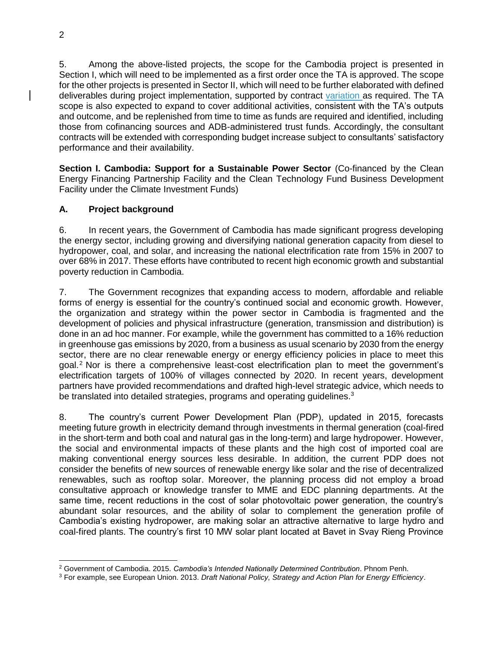5. Among the above-listed projects, the scope for the Cambodia project is presented in Section I, which will need to be implemented as a first order once the TA is approved. The scope for the other projects is presented in Sector II, which will need to be further elaborated with defined deliverables during project implementation, supported by contract variation as required. The TA scope is also expected to expand to cover additional activities, consistent with the TA's outputs and outcome, and be replenished from time to time as funds are required and identified, including those from cofinancing sources and ADB-administered trust funds. Accordingly, the consultant contracts will be extended with corresponding budget increase subject to consultants' satisfactory performance and their availability.

**Section I. Cambodia: Support for a Sustainable Power Sector** (Co-financed by the Clean Energy Financing Partnership Facility and the Clean Technology Fund Business Development Facility under the Climate Investment Funds)

### **A. Project background**

6. In recent years, the Government of Cambodia has made significant progress developing the energy sector, including growing and diversifying national generation capacity from diesel to hydropower, coal, and solar, and increasing the national electrification rate from 15% in 2007 to over 68% in 2017. These efforts have contributed to recent high economic growth and substantial poverty reduction in Cambodia.

7. The Government recognizes that expanding access to modern, affordable and reliable forms of energy is essential for the country's continued social and economic growth. However, the organization and strategy within the power sector in Cambodia is fragmented and the development of policies and physical infrastructure (generation, transmission and distribution) is done in an ad hoc manner. For example, while the government has committed to a 16% reduction in greenhouse gas emissions by 2020, from a business as usual scenario by 2030 from the energy sector, there are no clear renewable energy or energy efficiency policies in place to meet this goal. $<sup>2</sup>$  Nor is there a comprehensive least-cost electrification plan to meet the government's</sup> electrification targets of 100% of villages connected by 2020. In recent years, development partners have provided recommendations and drafted high-level strategic advice, which needs to be translated into detailed strategies, programs and operating guidelines.<sup>3</sup>

8. The country's current Power Development Plan (PDP), updated in 2015, forecasts meeting future growth in electricity demand through investments in thermal generation (coal-fired in the short-term and both coal and natural gas in the long-term) and large hydropower. However, the social and environmental impacts of these plants and the high cost of imported coal are making conventional energy sources less desirable. In addition, the current PDP does not consider the benefits of new sources of renewable energy like solar and the rise of decentralized renewables, such as rooftop solar. Moreover, the planning process did not employ a broad consultative approach or knowledge transfer to MME and EDC planning departments. At the same time, recent reductions in the cost of solar photovoltaic power generation, the country's abundant solar resources, and the ability of solar to complement the generation profile of Cambodia's existing hydropower, are making solar an attractive alternative to large hydro and coal-fired plants. The country's first 10 MW solar plant located at Bavet in Svay Rieng Province

 <sup>2</sup> Government of Cambodia. 2015. *Cambodia's Intended Nationally Determined Contribution*. Phnom Penh.

<sup>3</sup> For example, see European Union. 2013. *Draft National Policy, Strategy and Action Plan for Energy Efficiency*.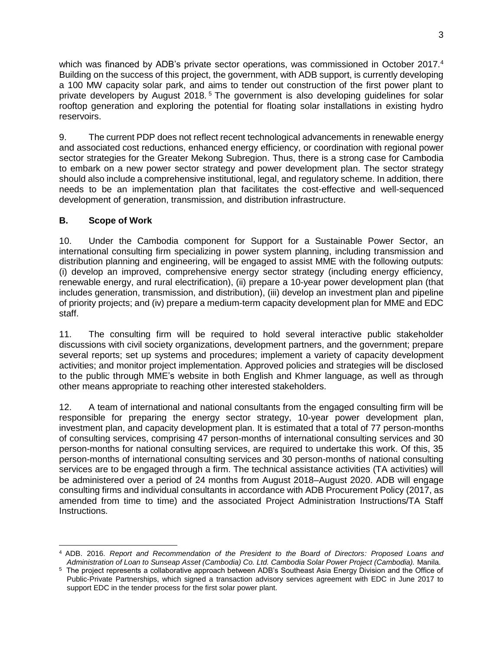which was financed by ADB's private sector operations, was commissioned in October 2017.<sup>4</sup> Building on the success of this project, the government, with ADB support, is currently developing a 100 MW capacity solar park, and aims to tender out construction of the first power plant to private developers by August 2018.<sup>5</sup> The government is also developing guidelines for solar rooftop generation and exploring the potential for floating solar installations in existing hydro reservoirs.

9. The current PDP does not reflect recent technological advancements in renewable energy and associated cost reductions, enhanced energy efficiency, or coordination with regional power sector strategies for the Greater Mekong Subregion. Thus, there is a strong case for Cambodia to embark on a new power sector strategy and power development plan. The sector strategy should also include a comprehensive institutional, legal, and regulatory scheme. In addition, there needs to be an implementation plan that facilitates the cost-effective and well-sequenced development of generation, transmission, and distribution infrastructure.

### **B. Scope of Work**

10. Under the Cambodia component for Support for a Sustainable Power Sector, an international consulting firm specializing in power system planning, including transmission and distribution planning and engineering, will be engaged to assist MME with the following outputs: (i) develop an improved, comprehensive energy sector strategy (including energy efficiency, renewable energy, and rural electrification), (ii) prepare a 10-year power development plan (that includes generation, transmission, and distribution), (iii) develop an investment plan and pipeline of priority projects; and (iv) prepare a medium-term capacity development plan for MME and EDC staff.

11. The consulting firm will be required to hold several interactive public stakeholder discussions with civil society organizations, development partners, and the government; prepare several reports; set up systems and procedures; implement a variety of capacity development activities; and monitor project implementation. Approved policies and strategies will be disclosed to the public through MME's website in both English and Khmer language, as well as through other means appropriate to reaching other interested stakeholders.

12. A team of international and national consultants from the engaged consulting firm will be responsible for preparing the energy sector strategy, 10-year power development plan, investment plan, and capacity development plan. It is estimated that a total of 77 person-months of consulting services, comprising 47 person-months of international consulting services and 30 person-months for national consulting services, are required to undertake this work. Of this, 35 person-months of international consulting services and 30 person-months of national consulting services are to be engaged through a firm. The technical assistance activities (TA activities) will be administered over a period of 24 months from August 2018–August 2020. ADB will engage consulting firms and individual consultants in accordance with ADB Procurement Policy (2017, as amended from time to time) and the associated Project Administration Instructions/TA Staff Instructions.

 <sup>4</sup> ADB. 2016. *Report and Recommendation of the President to the Board of Directors: Proposed Loans and Administration of Loan to Sunseap Asset (Cambodia) Co. Ltd. Cambodia Solar Power Project (Cambodia).* Manila.

<sup>&</sup>lt;sup>5</sup> The project represents a collaborative approach between ADB's Southeast Asia Energy Division and the Office of Public-Private Partnerships, which signed a transaction advisory services agreement with EDC in June 2017 to support EDC in the tender process for the first solar power plant.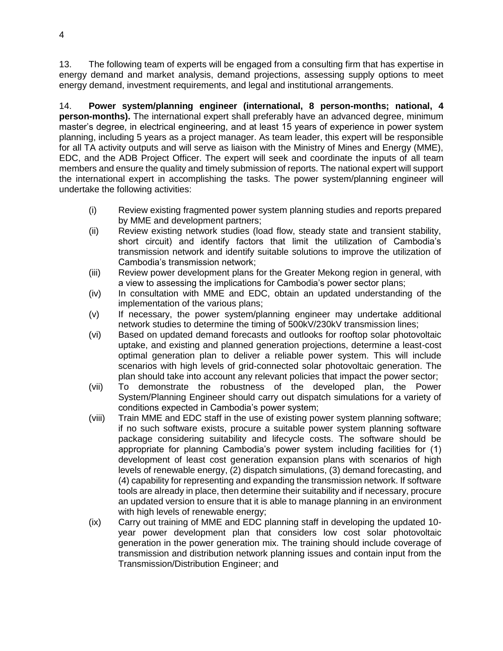13. The following team of experts will be engaged from a consulting firm that has expertise in energy demand and market analysis, demand projections, assessing supply options to meet energy demand, investment requirements, and legal and institutional arrangements.

14. **Power system/planning engineer (international, 8 person-months; national, 4 person-months).** The international expert shall preferably have an advanced degree, minimum master's degree, in electrical engineering, and at least 15 years of experience in power system planning, including 5 years as a project manager. As team leader, this expert will be responsible for all TA activity outputs and will serve as liaison with the Ministry of Mines and Energy (MME), EDC, and the ADB Project Officer. The expert will seek and coordinate the inputs of all team members and ensure the quality and timely submission of reports. The national expert will support the international expert in accomplishing the tasks. The power system/planning engineer will undertake the following activities:

- (i) Review existing fragmented power system planning studies and reports prepared by MME and development partners;
- (ii) Review existing network studies (load flow, steady state and transient stability, short circuit) and identify factors that limit the utilization of Cambodia's transmission network and identify suitable solutions to improve the utilization of Cambodia's transmission network;
- (iii) Review power development plans for the Greater Mekong region in general, with a view to assessing the implications for Cambodia's power sector plans;
- (iv) In consultation with MME and EDC, obtain an updated understanding of the implementation of the various plans;
- (v) If necessary, the power system/planning engineer may undertake additional network studies to determine the timing of 500kV/230kV transmission lines;
- (vi) Based on updated demand forecasts and outlooks for rooftop solar photovoltaic uptake, and existing and planned generation projections, determine a least-cost optimal generation plan to deliver a reliable power system. This will include scenarios with high levels of grid-connected solar photovoltaic generation. The plan should take into account any relevant policies that impact the power sector;
- (vii) To demonstrate the robustness of the developed plan, the Power System/Planning Engineer should carry out dispatch simulations for a variety of conditions expected in Cambodia's power system;
- (viii) Train MME and EDC staff in the use of existing power system planning software; if no such software exists, procure a suitable power system planning software package considering suitability and lifecycle costs. The software should be appropriate for planning Cambodia's power system including facilities for (1) development of least cost generation expansion plans with scenarios of high levels of renewable energy, (2) dispatch simulations, (3) demand forecasting, and (4) capability for representing and expanding the transmission network. If software tools are already in place, then determine their suitability and if necessary, procure an updated version to ensure that it is able to manage planning in an environment with high levels of renewable energy;
- (ix) Carry out training of MME and EDC planning staff in developing the updated 10 year power development plan that considers low cost solar photovoltaic generation in the power generation mix. The training should include coverage of transmission and distribution network planning issues and contain input from the Transmission/Distribution Engineer; and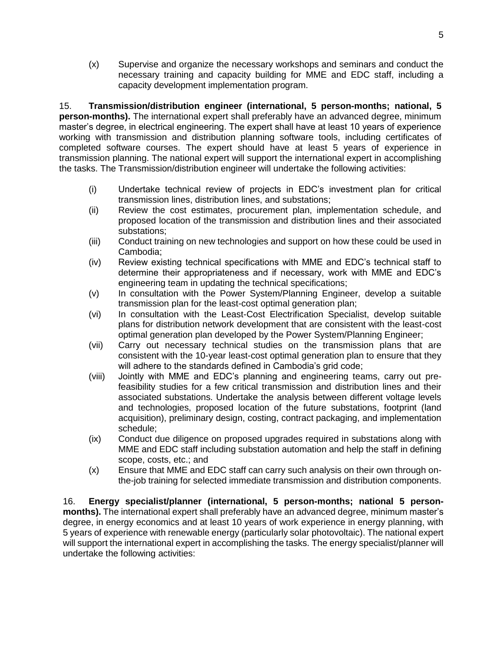(x) Supervise and organize the necessary workshops and seminars and conduct the necessary training and capacity building for MME and EDC staff, including a capacity development implementation program.

15. **Transmission/distribution engineer (international, 5 person-months; national, 5 person-months).** The international expert shall preferably have an advanced degree, minimum master's degree, in electrical engineering. The expert shall have at least 10 years of experience working with transmission and distribution planning software tools, including certificates of completed software courses. The expert should have at least 5 years of experience in transmission planning. The national expert will support the international expert in accomplishing the tasks. The Transmission/distribution engineer will undertake the following activities:

- (i) Undertake technical review of projects in EDC's investment plan for critical transmission lines, distribution lines, and substations;
- (ii) Review the cost estimates, procurement plan, implementation schedule, and proposed location of the transmission and distribution lines and their associated substations;
- (iii) Conduct training on new technologies and support on how these could be used in Cambodia;
- (iv) Review existing technical specifications with MME and EDC's technical staff to determine their appropriateness and if necessary, work with MME and EDC's engineering team in updating the technical specifications;
- (v) In consultation with the Power System/Planning Engineer, develop a suitable transmission plan for the least-cost optimal generation plan;
- (vi) In consultation with the Least-Cost Electrification Specialist, develop suitable plans for distribution network development that are consistent with the least-cost optimal generation plan developed by the Power System/Planning Engineer;
- (vii) Carry out necessary technical studies on the transmission plans that are consistent with the 10-year least-cost optimal generation plan to ensure that they will adhere to the standards defined in Cambodia's grid code;
- (viii) Jointly with MME and EDC's planning and engineering teams, carry out prefeasibility studies for a few critical transmission and distribution lines and their associated substations. Undertake the analysis between different voltage levels and technologies, proposed location of the future substations, footprint (land acquisition), preliminary design, costing, contract packaging, and implementation schedule;
- (ix) Conduct due diligence on proposed upgrades required in substations along with MME and EDC staff including substation automation and help the staff in defining scope, costs, etc.; and
- (x) Ensure that MME and EDC staff can carry such analysis on their own through onthe-job training for selected immediate transmission and distribution components.

16. **Energy specialist/planner (international, 5 person-months; national 5 personmonths).** The international expert shall preferably have an advanced degree, minimum master's degree, in energy economics and at least 10 years of work experience in energy planning, with 5 years of experience with renewable energy (particularly solar photovoltaic). The national expert will support the international expert in accomplishing the tasks. The energy specialist/planner will undertake the following activities: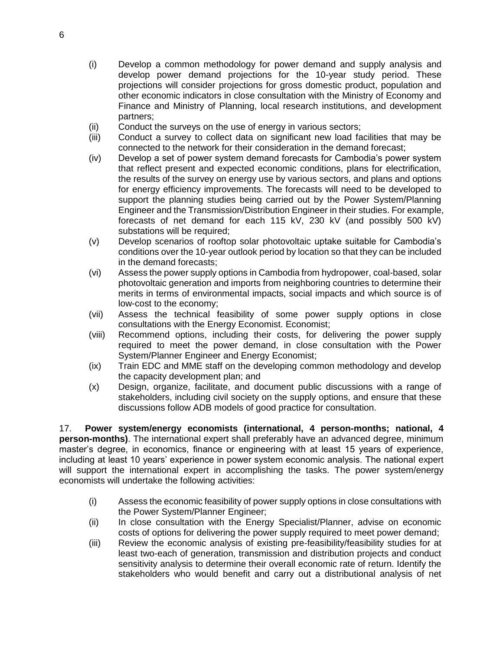- (i) Develop a common methodology for power demand and supply analysis and develop power demand projections for the 10-year study period. These projections will consider projections for gross domestic product, population and other economic indicators in close consultation with the Ministry of Economy and Finance and Ministry of Planning, local research institutions, and development partners;
- (ii) Conduct the surveys on the use of energy in various sectors;
- (iii) Conduct a survey to collect data on significant new load facilities that may be connected to the network for their consideration in the demand forecast;
- (iv) Develop a set of power system demand forecasts for Cambodia's power system that reflect present and expected economic conditions, plans for electrification, the results of the survey on energy use by various sectors, and plans and options for energy efficiency improvements. The forecasts will need to be developed to support the planning studies being carried out by the Power System/Planning Engineer and the Transmission/Distribution Engineer in their studies. For example, forecasts of net demand for each 115 kV, 230 kV (and possibly 500 kV) substations will be required;
- (v) Develop scenarios of rooftop solar photovoltaic uptake suitable for Cambodia's conditions over the 10-year outlook period by location so that they can be included in the demand forecasts;
- (vi) Assess the power supply options in Cambodia from hydropower, coal-based, solar photovoltaic generation and imports from neighboring countries to determine their merits in terms of environmental impacts, social impacts and which source is of low-cost to the economy;
- (vii) Assess the technical feasibility of some power supply options in close consultations with the Energy Economist. Economist;
- (viii) Recommend options, including their costs, for delivering the power supply required to meet the power demand, in close consultation with the Power System/Planner Engineer and Energy Economist;
- (ix) Train EDC and MME staff on the developing common methodology and develop the capacity development plan; and
- (x) Design, organize, facilitate, and document public discussions with a range of stakeholders, including civil society on the supply options, and ensure that these discussions follow ADB models of good practice for consultation.

17. **Power system/energy economists (international, 4 person-months; national, 4 person-months)**. The international expert shall preferably have an advanced degree, minimum master's degree, in economics, finance or engineering with at least 15 years of experience, including at least 10 years' experience in power system economic analysis. The national expert will support the international expert in accomplishing the tasks. The power system/energy economists will undertake the following activities:

- (i) Assess the economic feasibility of power supply options in close consultations with the Power System/Planner Engineer;
- (ii) In close consultation with the Energy Specialist/Planner, advise on economic costs of options for delivering the power supply required to meet power demand;
- (iii) Review the economic analysis of existing pre-feasibility/feasibility studies for at least two-each of generation, transmission and distribution projects and conduct sensitivity analysis to determine their overall economic rate of return. Identify the stakeholders who would benefit and carry out a distributional analysis of net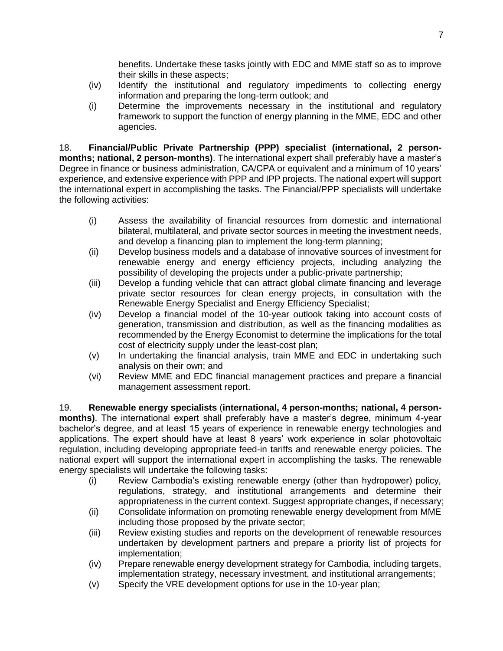benefits. Undertake these tasks jointly with EDC and MME staff so as to improve their skills in these aspects;

- (iv) Identify the institutional and regulatory impediments to collecting energy information and preparing the long-term outlook; and
- (i) Determine the improvements necessary in the institutional and regulatory framework to support the function of energy planning in the MME, EDC and other agencies.

18. **Financial/Public Private Partnership (PPP) specialist (international, 2 personmonths; national, 2 person-months)**. The international expert shall preferably have a master's Degree in finance or business administration, CA/CPA or equivalent and a minimum of 10 years' experience, and extensive experience with PPP and IPP projects. The national expert will support the international expert in accomplishing the tasks. The Financial/PPP specialists will undertake the following activities:

- (i) Assess the availability of financial resources from domestic and international bilateral, multilateral, and private sector sources in meeting the investment needs, and develop a financing plan to implement the long-term planning;
- (ii) Develop business models and a database of innovative sources of investment for renewable energy and energy efficiency projects, including analyzing the possibility of developing the projects under a public-private partnership;
- (iii) Develop a funding vehicle that can attract global climate financing and leverage private sector resources for clean energy projects, in consultation with the Renewable Energy Specialist and Energy Efficiency Specialist;
- (iv) Develop a financial model of the 10-year outlook taking into account costs of generation, transmission and distribution, as well as the financing modalities as recommended by the Energy Economist to determine the implications for the total cost of electricity supply under the least-cost plan;
- (v) In undertaking the financial analysis, train MME and EDC in undertaking such analysis on their own; and
- (vi) Review MME and EDC financial management practices and prepare a financial management assessment report.

19. **Renewable energy specialists** (**international, 4 person-months; national, 4 personmonths)**. The international expert shall preferably have a master's degree, minimum 4-year bachelor's degree, and at least 15 years of experience in renewable energy technologies and applications. The expert should have at least 8 years' work experience in solar photovoltaic regulation, including developing appropriate feed-in tariffs and renewable energy policies. The national expert will support the international expert in accomplishing the tasks. The renewable energy specialists will undertake the following tasks:

- (i) Review Cambodia's existing renewable energy (other than hydropower) policy, regulations, strategy, and institutional arrangements and determine their appropriateness in the current context. Suggest appropriate changes, if necessary;
- (ii) Consolidate information on promoting renewable energy development from MME including those proposed by the private sector;
- (iii) Review existing studies and reports on the development of renewable resources undertaken by development partners and prepare a priority list of projects for implementation;
- (iv) Prepare renewable energy development strategy for Cambodia, including targets, implementation strategy, necessary investment, and institutional arrangements;
- (v) Specify the VRE development options for use in the 10-year plan;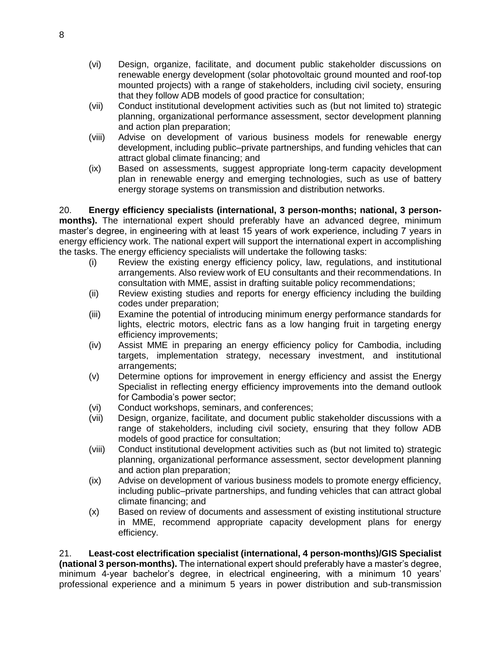- (vi) Design, organize, facilitate, and document public stakeholder discussions on renewable energy development (solar photovoltaic ground mounted and roof-top mounted projects) with a range of stakeholders, including civil society, ensuring that they follow ADB models of good practice for consultation;
- (vii) Conduct institutional development activities such as (but not limited to) strategic planning, organizational performance assessment, sector development planning and action plan preparation;
- (viii) Advise on development of various business models for renewable energy development, including public–private partnerships, and funding vehicles that can attract global climate financing; and
- (ix) Based on assessments, suggest appropriate long-term capacity development plan in renewable energy and emerging technologies, such as use of battery energy storage systems on transmission and distribution networks.

20. **Energy efficiency specialists (international, 3 person-months; national, 3 personmonths).** The international expert should preferably have an advanced degree, minimum master's degree, in engineering with at least 15 years of work experience, including 7 years in energy efficiency work. The national expert will support the international expert in accomplishing the tasks. The energy efficiency specialists will undertake the following tasks:

- (i) Review the existing energy efficiency policy, law, regulations, and institutional arrangements. Also review work of EU consultants and their recommendations. In consultation with MME, assist in drafting suitable policy recommendations;
- (ii) Review existing studies and reports for energy efficiency including the building codes under preparation;
- (iii) Examine the potential of introducing minimum energy performance standards for lights, electric motors, electric fans as a low hanging fruit in targeting energy efficiency improvements;
- (iv) Assist MME in preparing an energy efficiency policy for Cambodia, including targets, implementation strategy, necessary investment, and institutional arrangements;
- (v) Determine options for improvement in energy efficiency and assist the Energy Specialist in reflecting energy efficiency improvements into the demand outlook for Cambodia's power sector;
- (vi) Conduct workshops, seminars, and conferences;
- (vii) Design, organize, facilitate, and document public stakeholder discussions with a range of stakeholders, including civil society, ensuring that they follow ADB models of good practice for consultation;
- (viii) Conduct institutional development activities such as (but not limited to) strategic planning, organizational performance assessment, sector development planning and action plan preparation;
- (ix) Advise on development of various business models to promote energy efficiency, including public–private partnerships, and funding vehicles that can attract global climate financing; and
- (x) Based on review of documents and assessment of existing institutional structure in MME, recommend appropriate capacity development plans for energy efficiency.

21. **Least-cost electrification specialist (international, 4 person-months)/GIS Specialist (national 3 person-months).** The international expert should preferably have a master's degree, minimum 4-year bachelor's degree, in electrical engineering, with a minimum 10 years' professional experience and a minimum 5 years in power distribution and sub-transmission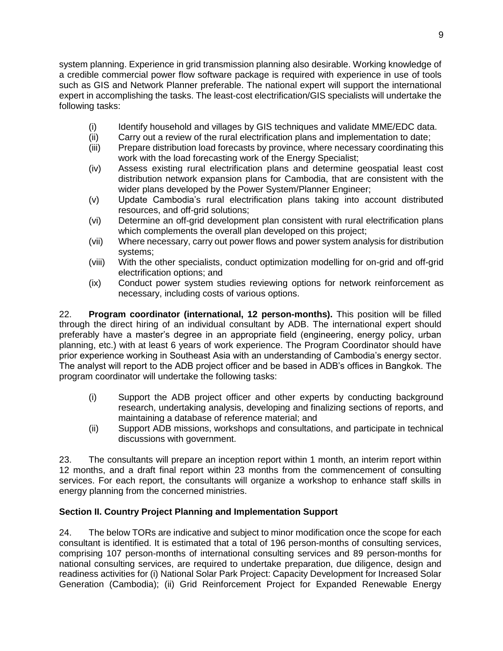system planning. Experience in grid transmission planning also desirable. Working knowledge of a credible commercial power flow software package is required with experience in use of tools such as GIS and Network Planner preferable. The national expert will support the international expert in accomplishing the tasks. The least-cost electrification/GIS specialists will undertake the following tasks:

- (i) Identify household and villages by GIS techniques and validate MME/EDC data.
- (ii) Carry out a review of the rural electrification plans and implementation to date;
- (iii) Prepare distribution load forecasts by province, where necessary coordinating this work with the load forecasting work of the Energy Specialist;
- (iv) Assess existing rural electrification plans and determine geospatial least cost distribution network expansion plans for Cambodia, that are consistent with the wider plans developed by the Power System/Planner Engineer;
- (v) Update Cambodia's rural electrification plans taking into account distributed resources, and off-grid solutions;
- (vi) Determine an off-grid development plan consistent with rural electrification plans which complements the overall plan developed on this project;
- (vii) Where necessary, carry out power flows and power system analysis for distribution systems;
- (viii) With the other specialists, conduct optimization modelling for on-grid and off-grid electrification options; and
- (ix) Conduct power system studies reviewing options for network reinforcement as necessary, including costs of various options.

22. **Program coordinator (international, 12 person-months).** This position will be filled through the direct hiring of an individual consultant by ADB. The international expert should preferably have a master's degree in an appropriate field (engineering, energy policy, urban planning, etc.) with at least 6 years of work experience. The Program Coordinator should have prior experience working in Southeast Asia with an understanding of Cambodia's energy sector. The analyst will report to the ADB project officer and be based in ADB's offices in Bangkok. The program coordinator will undertake the following tasks:

- (i) Support the ADB project officer and other experts by conducting background research, undertaking analysis, developing and finalizing sections of reports, and maintaining a database of reference material; and
- (ii) Support ADB missions, workshops and consultations, and participate in technical discussions with government.

23. The consultants will prepare an inception report within 1 month, an interim report within 12 months, and a draft final report within 23 months from the commencement of consulting services. For each report, the consultants will organize a workshop to enhance staff skills in energy planning from the concerned ministries.

# **Section II. Country Project Planning and Implementation Support**

24. The below TORs are indicative and subject to minor modification once the scope for each consultant is identified. It is estimated that a total of 196 person-months of consulting services, comprising 107 person-months of international consulting services and 89 person-months for national consulting services, are required to undertake preparation, due diligence, design and readiness activities for (i) National Solar Park Project: Capacity Development for Increased Solar Generation (Cambodia); (ii) Grid Reinforcement Project for Expanded Renewable Energy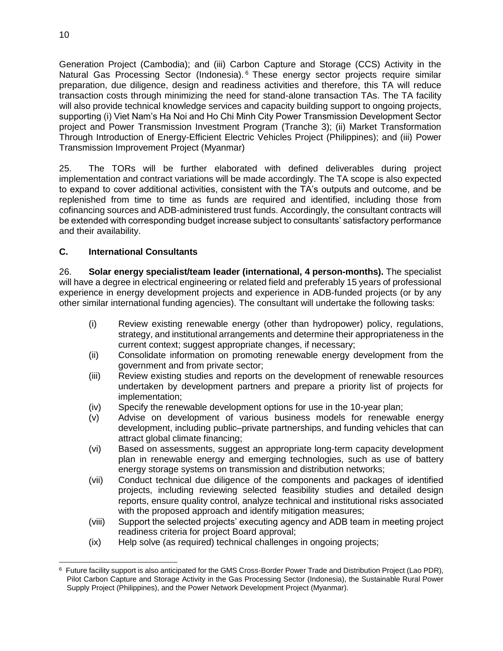Generation Project (Cambodia); and (iii) Carbon Capture and Storage (CCS) Activity in the Natural Gas Processing Sector (Indonesia). <sup>6</sup> These energy sector projects require similar preparation, due diligence, design and readiness activities and therefore, this TA will reduce transaction costs through minimizing the need for stand-alone transaction TAs. The TA facility will also provide technical knowledge services and capacity building support to ongoing projects, supporting (i) Viet Nam's Ha Noi and Ho Chi Minh City Power Transmission Development Sector project and Power Transmission Investment Program (Tranche 3); (ii) Market Transformation Through Introduction of Energy-Efficient Electric Vehicles Project (Philippines); and (iii) Power Transmission Improvement Project (Myanmar)

25. The TORs will be further elaborated with defined deliverables during project implementation and contract variations will be made accordingly. The TA scope is also expected to expand to cover additional activities, consistent with the TA's outputs and outcome, and be replenished from time to time as funds are required and identified, including those from cofinancing sources and ADB-administered trust funds. Accordingly, the consultant contracts will be extended with corresponding budget increase subject to consultants' satisfactory performance and their availability.

# **C. International Consultants**

26. **Solar energy specialist/team leader (international, 4 person-months).** The specialist will have a degree in electrical engineering or related field and preferably 15 years of professional experience in energy development projects and experience in ADB-funded projects (or by any other similar international funding agencies). The consultant will undertake the following tasks:

- (i) Review existing renewable energy (other than hydropower) policy, regulations, strategy, and institutional arrangements and determine their appropriateness in the current context; suggest appropriate changes, if necessary;
- (ii) Consolidate information on promoting renewable energy development from the government and from private sector;
- (iii) Review existing studies and reports on the development of renewable resources undertaken by development partners and prepare a priority list of projects for implementation;
- (iv) Specify the renewable development options for use in the 10-year plan;
- (v) Advise on development of various business models for renewable energy development, including public–private partnerships, and funding vehicles that can attract global climate financing;
- (vi) Based on assessments, suggest an appropriate long-term capacity development plan in renewable energy and emerging technologies, such as use of battery energy storage systems on transmission and distribution networks;
- (vii) Conduct technical due diligence of the components and packages of identified projects, including reviewing selected feasibility studies and detailed design reports, ensure quality control, analyze technical and institutional risks associated with the proposed approach and identify mitigation measures;
- (viii) Support the selected projects' executing agency and ADB team in meeting project readiness criteria for project Board approval;
- (ix) Help solve (as required) technical challenges in ongoing projects;

 6 Future facility support is also anticipated for the GMS Cross-Border Power Trade and Distribution Project (Lao PDR), Pilot Carbon Capture and Storage Activity in the Gas Processing Sector (Indonesia), the Sustainable Rural Power Supply Project (Philippines), and the Power Network Development Project (Myanmar).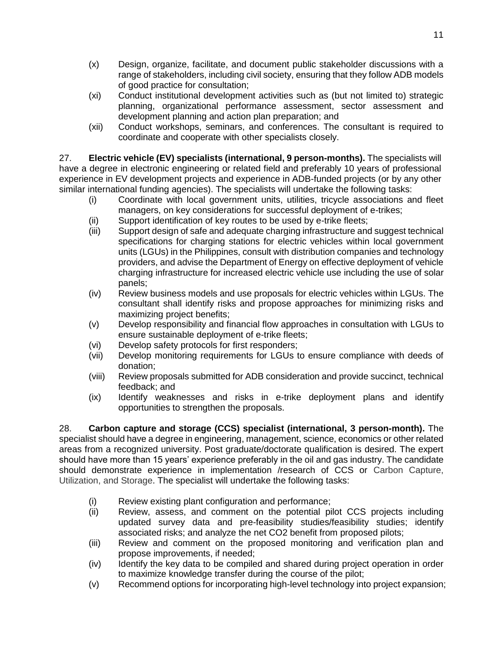- (x) Design, organize, facilitate, and document public stakeholder discussions with a range of stakeholders, including civil society, ensuring that they follow ADB models of good practice for consultation;
- (xi) Conduct institutional development activities such as (but not limited to) strategic planning, organizational performance assessment, sector assessment and development planning and action plan preparation; and
- (xii) Conduct workshops, seminars, and conferences. The consultant is required to coordinate and cooperate with other specialists closely.

27. **Electric vehicle (EV) specialists (international, 9 person-months).** The specialists will have a degree in electronic engineering or related field and preferably 10 years of professional experience in EV development projects and experience in ADB-funded projects (or by any other similar international funding agencies). The specialists will undertake the following tasks:

- (i) Coordinate with local government units, utilities, tricycle associations and fleet managers, on key considerations for successful deployment of e-trikes;
- (ii) Support identification of key routes to be used by e-trike fleets;
- (iii) Support design of safe and adequate charging infrastructure and suggest technical specifications for charging stations for electric vehicles within local government units (LGUs) in the Philippines, consult with distribution companies and technology providers, and advise the Department of Energy on effective deployment of vehicle charging infrastructure for increased electric vehicle use including the use of solar panels;
- (iv) Review business models and use proposals for electric vehicles within LGUs. The consultant shall identify risks and propose approaches for minimizing risks and maximizing project benefits;
- (v) Develop responsibility and financial flow approaches in consultation with LGUs to ensure sustainable deployment of e-trike fleets;
- (vi) Develop safety protocols for first responders;
- (vii) Develop monitoring requirements for LGUs to ensure compliance with deeds of donation;
- (viii) Review proposals submitted for ADB consideration and provide succinct, technical feedback; and
- (ix) Identify weaknesses and risks in e-trike deployment plans and identify opportunities to strengthen the proposals.

28. **Carbon capture and storage (CCS) specialist (international, 3 person-month).** The specialist should have a degree in engineering, management, science, economics or other related areas from a recognized university. Post graduate/doctorate qualification is desired. The expert should have more than 15 years' experience preferably in the oil and gas industry. The candidate should demonstrate experience in implementation /research of CCS or Carbon Capture, Utilization, and Storage. The specialist will undertake the following tasks:

- (i) Review existing plant configuration and performance;
- (ii) Review, assess, and comment on the potential pilot CCS projects including updated survey data and pre-feasibility studies/feasibility studies; identify associated risks; and analyze the net CO2 benefit from proposed pilots;
- (iii) Review and comment on the proposed monitoring and verification plan and propose improvements, if needed;
- (iv) Identify the key data to be compiled and shared during project operation in order to maximize knowledge transfer during the course of the pilot;
- (v) Recommend options for incorporating high-level technology into project expansion;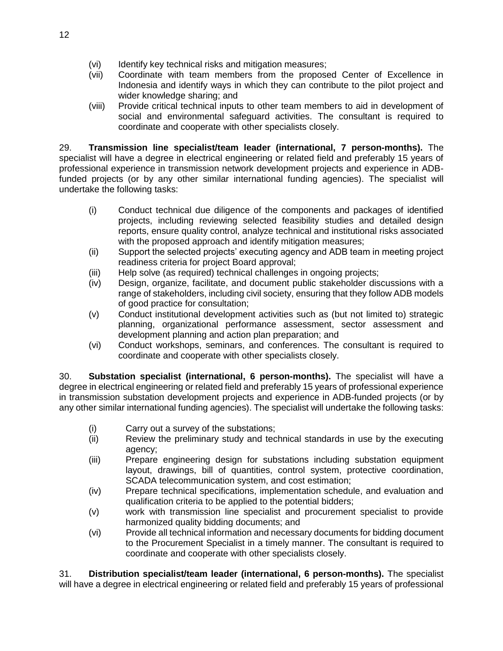- (vi) Identify key technical risks and mitigation measures;
- (vii) Coordinate with team members from the proposed Center of Excellence in Indonesia and identify ways in which they can contribute to the pilot project and wider knowledge sharing; and
- (viii) Provide critical technical inputs to other team members to aid in development of social and environmental safeguard activities. The consultant is required to coordinate and cooperate with other specialists closely.

29. **Transmission line specialist/team leader (international, 7 person-months).** The specialist will have a degree in electrical engineering or related field and preferably 15 years of professional experience in transmission network development projects and experience in ADBfunded projects (or by any other similar international funding agencies). The specialist will undertake the following tasks:

- (i) Conduct technical due diligence of the components and packages of identified projects, including reviewing selected feasibility studies and detailed design reports, ensure quality control, analyze technical and institutional risks associated with the proposed approach and identify mitigation measures;
- (ii) Support the selected projects' executing agency and ADB team in meeting project readiness criteria for project Board approval;
- (iii) Help solve (as required) technical challenges in ongoing projects;
- (iv) Design, organize, facilitate, and document public stakeholder discussions with a range of stakeholders, including civil society, ensuring that they follow ADB models of good practice for consultation;
- (v) Conduct institutional development activities such as (but not limited to) strategic planning, organizational performance assessment, sector assessment and development planning and action plan preparation; and
- (vi) Conduct workshops, seminars, and conferences. The consultant is required to coordinate and cooperate with other specialists closely.

30. **Substation specialist (international, 6 person-months).** The specialist will have a degree in electrical engineering or related field and preferably 15 years of professional experience in transmission substation development projects and experience in ADB-funded projects (or by any other similar international funding agencies). The specialist will undertake the following tasks:

- (i) Carry out a survey of the substations;
- (ii) Review the preliminary study and technical standards in use by the executing agency;
- (iii) Prepare engineering design for substations including substation equipment layout, drawings, bill of quantities, control system, protective coordination, SCADA telecommunication system, and cost estimation;
- (iv) Prepare technical specifications, implementation schedule, and evaluation and qualification criteria to be applied to the potential bidders;
- (v) work with transmission line specialist and procurement specialist to provide harmonized quality bidding documents; and
- (vi) Provide all technical information and necessary documents for bidding document to the Procurement Specialist in a timely manner. The consultant is required to coordinate and cooperate with other specialists closely.

31. **Distribution specialist/team leader (international, 6 person-months).** The specialist will have a degree in electrical engineering or related field and preferably 15 years of professional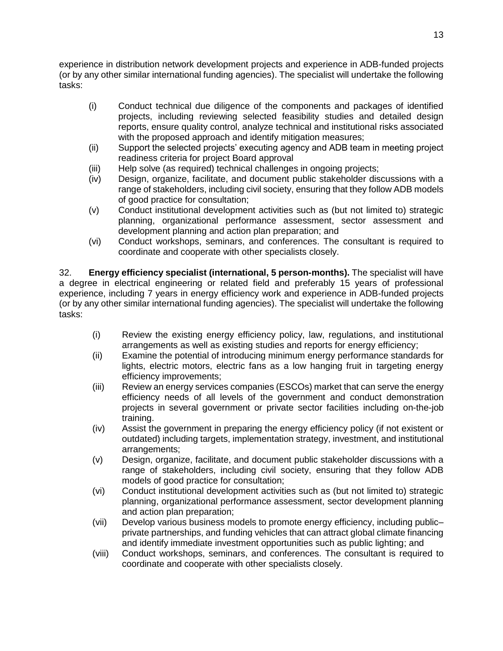experience in distribution network development projects and experience in ADB-funded projects (or by any other similar international funding agencies). The specialist will undertake the following tasks:

- (i) Conduct technical due diligence of the components and packages of identified projects, including reviewing selected feasibility studies and detailed design reports, ensure quality control, analyze technical and institutional risks associated with the proposed approach and identify mitigation measures;
- (ii) Support the selected projects' executing agency and ADB team in meeting project readiness criteria for project Board approval
- (iii) Help solve (as required) technical challenges in ongoing projects;
- (iv) Design, organize, facilitate, and document public stakeholder discussions with a range of stakeholders, including civil society, ensuring that they follow ADB models of good practice for consultation;
- (v) Conduct institutional development activities such as (but not limited to) strategic planning, organizational performance assessment, sector assessment and development planning and action plan preparation; and
- (vi) Conduct workshops, seminars, and conferences. The consultant is required to coordinate and cooperate with other specialists closely.

32. **Energy efficiency specialist (international, 5 person-months).** The specialist will have a degree in electrical engineering or related field and preferably 15 years of professional experience, including 7 years in energy efficiency work and experience in ADB-funded projects (or by any other similar international funding agencies). The specialist will undertake the following tasks:

- (i) Review the existing energy efficiency policy, law, regulations, and institutional arrangements as well as existing studies and reports for energy efficiency;
- (ii) Examine the potential of introducing minimum energy performance standards for lights, electric motors, electric fans as a low hanging fruit in targeting energy efficiency improvements;
- (iii) Review an energy services companies (ESCOs) market that can serve the energy efficiency needs of all levels of the government and conduct demonstration projects in several government or private sector facilities including on-the-job training.
- (iv) Assist the government in preparing the energy efficiency policy (if not existent or outdated) including targets, implementation strategy, investment, and institutional arrangements;
- (v) Design, organize, facilitate, and document public stakeholder discussions with a range of stakeholders, including civil society, ensuring that they follow ADB models of good practice for consultation;
- (vi) Conduct institutional development activities such as (but not limited to) strategic planning, organizational performance assessment, sector development planning and action plan preparation;
- (vii) Develop various business models to promote energy efficiency, including public– private partnerships, and funding vehicles that can attract global climate financing and identify immediate investment opportunities such as public lighting; and
- (viii) Conduct workshops, seminars, and conferences. The consultant is required to coordinate and cooperate with other specialists closely.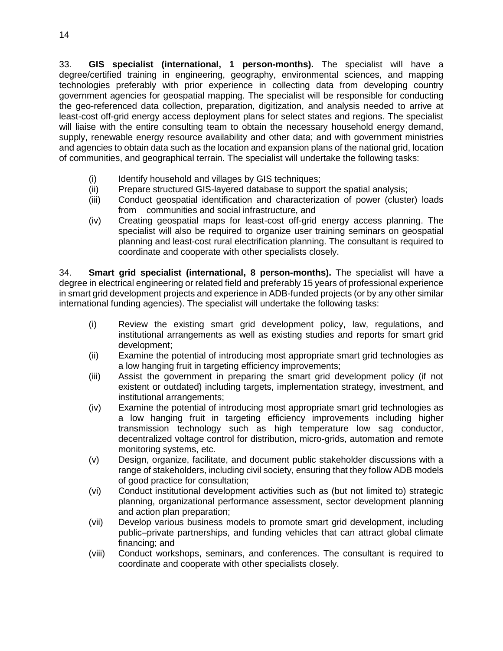33. **GIS specialist (international, 1 person-months).** The specialist will have a degree/certified training in engineering, geography, environmental sciences, and mapping technologies preferably with prior experience in collecting data from developing country government agencies for geospatial mapping. The specialist will be responsible for conducting the geo-referenced data collection, preparation, digitization, and analysis needed to arrive at least-cost off-grid energy access deployment plans for select states and regions. The specialist will liaise with the entire consulting team to obtain the necessary household energy demand, supply, renewable energy resource availability and other data; and with government ministries and agencies to obtain data such as the location and expansion plans of the national grid, location of communities, and geographical terrain. The specialist will undertake the following tasks:

- (i) Identify household and villages by GIS techniques;
- (ii) Prepare structured GIS-layered database to support the spatial analysis;
- (iii) Conduct geospatial identification and characterization of power (cluster) loads from communities and social infrastructure, and
- (iv) Creating geospatial maps for least-cost off-grid energy access planning. The specialist will also be required to organize user training seminars on geospatial planning and least-cost rural electrification planning. The consultant is required to coordinate and cooperate with other specialists closely.

34. **Smart grid specialist (international, 8 person-months).** The specialist will have a degree in electrical engineering or related field and preferably 15 years of professional experience in smart grid development projects and experience in ADB-funded projects (or by any other similar international funding agencies). The specialist will undertake the following tasks:

- (i) Review the existing smart grid development policy, law, regulations, and institutional arrangements as well as existing studies and reports for smart grid development;
- (ii) Examine the potential of introducing most appropriate smart grid technologies as a low hanging fruit in targeting efficiency improvements;
- (iii) Assist the government in preparing the smart grid development policy (if not existent or outdated) including targets, implementation strategy, investment, and institutional arrangements;
- (iv) Examine the potential of introducing most appropriate smart grid technologies as a low hanging fruit in targeting efficiency improvements including higher transmission technology such as high temperature low sag conductor, decentralized voltage control for distribution, micro-grids, automation and remote monitoring systems, etc.
- (v) Design, organize, facilitate, and document public stakeholder discussions with a range of stakeholders, including civil society, ensuring that they follow ADB models of good practice for consultation;
- (vi) Conduct institutional development activities such as (but not limited to) strategic planning, organizational performance assessment, sector development planning and action plan preparation;
- (vii) Develop various business models to promote smart grid development, including public–private partnerships, and funding vehicles that can attract global climate financing; and
- (viii) Conduct workshops, seminars, and conferences. The consultant is required to coordinate and cooperate with other specialists closely.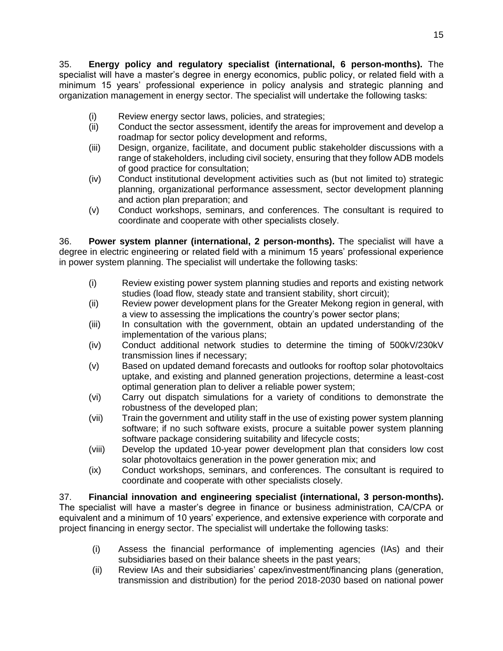35. **Energy policy and regulatory specialist (international, 6 person-months).** The specialist will have a master's degree in energy economics, public policy, or related field with a minimum 15 years' professional experience in policy analysis and strategic planning and organization management in energy sector. The specialist will undertake the following tasks:

- (i) Review energy sector laws, policies, and strategies;
- (ii) Conduct the sector assessment, identify the areas for improvement and develop a roadmap for sector policy development and reforms,
- (iii) Design, organize, facilitate, and document public stakeholder discussions with a range of stakeholders, including civil society, ensuring that they follow ADB models of good practice for consultation;
- (iv) Conduct institutional development activities such as (but not limited to) strategic planning, organizational performance assessment, sector development planning and action plan preparation; and
- (v) Conduct workshops, seminars, and conferences. The consultant is required to coordinate and cooperate with other specialists closely.

36. **Power system planner (international, 2 person-months).** The specialist will have a degree in electric engineering or related field with a minimum 15 years' professional experience in power system planning. The specialist will undertake the following tasks:

- (i) Review existing power system planning studies and reports and existing network studies (load flow, steady state and transient stability, short circuit);
- (ii) Review power development plans for the Greater Mekong region in general, with a view to assessing the implications the country's power sector plans;
- (iii) In consultation with the government, obtain an updated understanding of the implementation of the various plans;
- (iv) Conduct additional network studies to determine the timing of 500kV/230kV transmission lines if necessary;
- (v) Based on updated demand forecasts and outlooks for rooftop solar photovoltaics uptake, and existing and planned generation projections, determine a least-cost optimal generation plan to deliver a reliable power system;
- (vi) Carry out dispatch simulations for a variety of conditions to demonstrate the robustness of the developed plan;
- (vii) Train the government and utility staff in the use of existing power system planning software; if no such software exists, procure a suitable power system planning software package considering suitability and lifecycle costs;
- (viii) Develop the updated 10-year power development plan that considers low cost solar photovoltaics generation in the power generation mix; and
- (ix) Conduct workshops, seminars, and conferences. The consultant is required to coordinate and cooperate with other specialists closely.

37. **Financial innovation and engineering specialist (international, 3 person-months).**  The specialist will have a master's degree in finance or business administration, CA/CPA or equivalent and a minimum of 10 years' experience, and extensive experience with corporate and project financing in energy sector. The specialist will undertake the following tasks:

- (i) Assess the financial performance of implementing agencies (IAs) and their subsidiaries based on their balance sheets in the past years;
- (ii) Review IAs and their subsidiaries' capex/investment/financing plans (generation, transmission and distribution) for the period 2018-2030 based on national power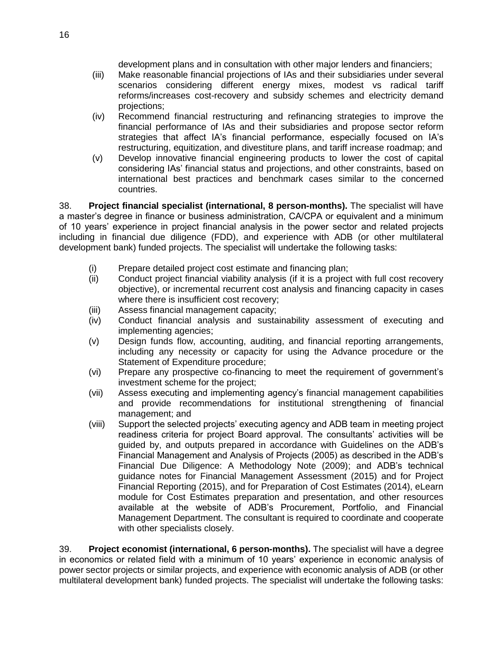development plans and in consultation with other major lenders and financiers;

- (iii) Make reasonable financial projections of IAs and their subsidiaries under several scenarios considering different energy mixes, modest vs radical tariff reforms/increases cost-recovery and subsidy schemes and electricity demand projections;
- (iv) Recommend financial restructuring and refinancing strategies to improve the financial performance of IAs and their subsidiaries and propose sector reform strategies that affect IA's financial performance, especially focused on IA's restructuring, equitization, and divestiture plans, and tariff increase roadmap; and
- (v) Develop innovative financial engineering products to lower the cost of capital considering IAs' financial status and projections, and other constraints, based on international best practices and benchmark cases similar to the concerned countries.

38. **Project financial specialist (international, 8 person-months).** The specialist will have a master's degree in finance or business administration, CA/CPA or equivalent and a minimum of 10 years' experience in project financial analysis in the power sector and related projects including in financial due diligence (FDD), and experience with ADB (or other multilateral development bank) funded projects. The specialist will undertake the following tasks:

- (i) Prepare detailed project cost estimate and financing plan;
- (ii) Conduct project financial viability analysis (if it is a project with full cost recovery objective), or incremental recurrent cost analysis and financing capacity in cases where there is insufficient cost recovery;
- (iii) Assess financial management capacity;
- (iv) Conduct financial analysis and sustainability assessment of executing and implementing agencies;
- (v) Design funds flow, accounting, auditing, and financial reporting arrangements, including any necessity or capacity for using the Advance procedure or the Statement of Expenditure procedure;
- (vi) Prepare any prospective co-financing to meet the requirement of government's investment scheme for the project;
- (vii) Assess executing and implementing agency's financial management capabilities and provide recommendations for institutional strengthening of financial management; and
- (viii) Support the selected projects' executing agency and ADB team in meeting project readiness criteria for project Board approval. The consultants' activities will be guided by, and outputs prepared in accordance with Guidelines on the ADB's Financial Management and Analysis of Projects (2005) as described in the ADB's Financial Due Diligence: A Methodology Note (2009); and ADB's technical guidance notes for Financial Management Assessment (2015) and for Project Financial Reporting (2015), and for Preparation of Cost Estimates (2014), eLearn module for Cost Estimates preparation and presentation, and other resources available at the website of ADB's Procurement, Portfolio, and Financial Management Department. The consultant is required to coordinate and cooperate with other specialists closely.

39. **Project economist (international, 6 person-months).** The specialist will have a degree in economics or related field with a minimum of 10 years' experience in economic analysis of power sector projects or similar projects, and experience with economic analysis of ADB (or other multilateral development bank) funded projects. The specialist will undertake the following tasks: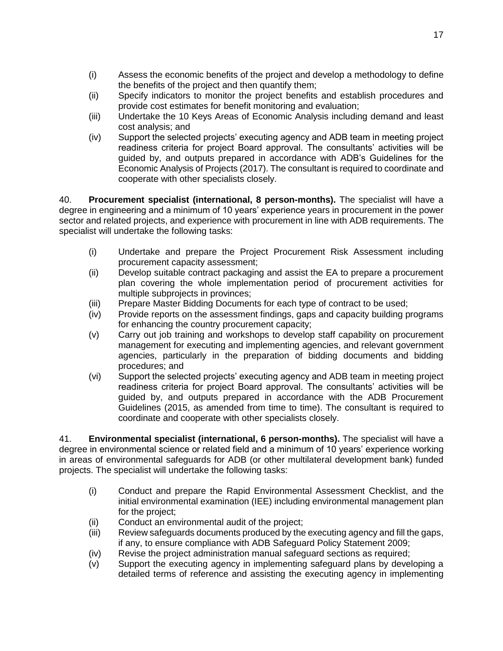- (i) Assess the economic benefits of the project and develop a methodology to define the benefits of the project and then quantify them;
- (ii) Specify indicators to monitor the project benefits and establish procedures and provide cost estimates for benefit monitoring and evaluation;
- (iii) Undertake the 10 Keys Areas of Economic Analysis including demand and least cost analysis; and
- (iv) Support the selected projects' executing agency and ADB team in meeting project readiness criteria for project Board approval. The consultants' activities will be guided by, and outputs prepared in accordance with ADB's Guidelines for the Economic Analysis of Projects (2017). The consultant is required to coordinate and cooperate with other specialists closely.

40. **Procurement specialist (international, 8 person-months).** The specialist will have a degree in engineering and a minimum of 10 years' experience years in procurement in the power sector and related projects, and experience with procurement in line with ADB requirements. The specialist will undertake the following tasks:

- (i) Undertake and prepare the Project Procurement Risk Assessment including procurement capacity assessment;
- (ii) Develop suitable contract packaging and assist the EA to prepare a procurement plan covering the whole implementation period of procurement activities for multiple subprojects in provinces;
- (iii) Prepare Master Bidding Documents for each type of contract to be used;
- (iv) Provide reports on the assessment findings, gaps and capacity building programs for enhancing the country procurement capacity;
- (v) Carry out job training and workshops to develop staff capability on procurement management for executing and implementing agencies, and relevant government agencies, particularly in the preparation of bidding documents and bidding procedures; and
- (vi) Support the selected projects' executing agency and ADB team in meeting project readiness criteria for project Board approval. The consultants' activities will be guided by, and outputs prepared in accordance with the ADB Procurement Guidelines (2015, as amended from time to time). The consultant is required to coordinate and cooperate with other specialists closely.

41. **Environmental specialist (international, 6 person-months).** The specialist will have a degree in environmental science or related field and a minimum of 10 years' experience working in areas of environmental safeguards for ADB (or other multilateral development bank) funded projects. The specialist will undertake the following tasks:

- (i) Conduct and prepare the Rapid Environmental Assessment Checklist, and the initial environmental examination (IEE) including environmental management plan for the project;
- (ii) Conduct an environmental audit of the project;
- (iii) Review safeguards documents produced by the executing agency and fill the gaps, if any, to ensure compliance with ADB Safeguard Policy Statement 2009;
- (iv) Revise the project administration manual safeguard sections as required;
- (v) Support the executing agency in implementing safeguard plans by developing a detailed terms of reference and assisting the executing agency in implementing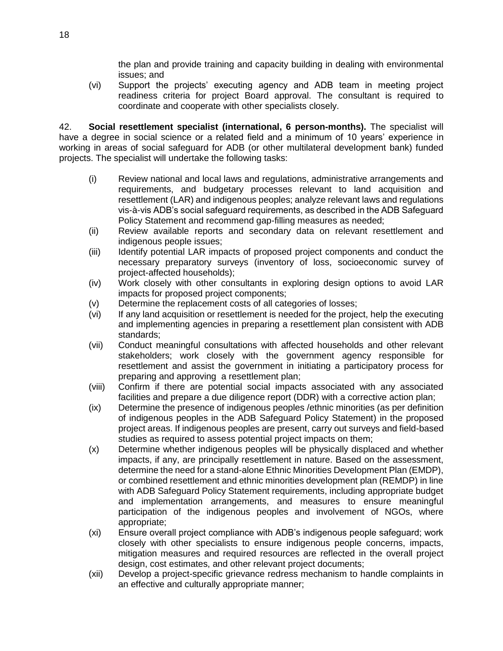the plan and provide training and capacity building in dealing with environmental issues; and

(vi) Support the projects' executing agency and ADB team in meeting project readiness criteria for project Board approval. The consultant is required to coordinate and cooperate with other specialists closely.

42. **Social resettlement specialist (international, 6 person-months).** The specialist will have a degree in social science or a related field and a minimum of 10 years' experience in working in areas of social safeguard for ADB (or other multilateral development bank) funded projects. The specialist will undertake the following tasks:

- (i) Review national and local laws and regulations, administrative arrangements and requirements, and budgetary processes relevant to land acquisition and resettlement (LAR) and indigenous peoples; analyze relevant laws and regulations vis-à-vis ADB's social safeguard requirements, as described in the ADB Safeguard Policy Statement and recommend gap-filling measures as needed;
- (ii) Review available reports and secondary data on relevant resettlement and indigenous people issues;
- (iii) Identify potential LAR impacts of proposed project components and conduct the necessary preparatory surveys (inventory of loss, socioeconomic survey of project-affected households);
- (iv) Work closely with other consultants in exploring design options to avoid LAR impacts for proposed project components;
- (v) Determine the replacement costs of all categories of losses;
- (vi) If any land acquisition or resettlement is needed for the project, help the executing and implementing agencies in preparing a resettlement plan consistent with ADB standards;
- (vii) Conduct meaningful consultations with affected households and other relevant stakeholders; work closely with the government agency responsible for resettlement and assist the government in initiating a participatory process for preparing and approving a resettlement plan;
- (viii) Confirm if there are potential social impacts associated with any associated facilities and prepare a due diligence report (DDR) with a corrective action plan;
- (ix) Determine the presence of indigenous peoples /ethnic minorities (as per definition of indigenous peoples in the ADB Safeguard Policy Statement) in the proposed project areas. If indigenous peoples are present, carry out surveys and field-based studies as required to assess potential project impacts on them;
- (x) Determine whether indigenous peoples will be physically displaced and whether impacts, if any, are principally resettlement in nature. Based on the assessment, determine the need for a stand-alone Ethnic Minorities Development Plan (EMDP), or combined resettlement and ethnic minorities development plan (REMDP) in line with ADB Safeguard Policy Statement requirements, including appropriate budget and implementation arrangements, and measures to ensure meaningful participation of the indigenous peoples and involvement of NGOs, where appropriate;
- (xi) Ensure overall project compliance with ADB's indigenous people safeguard; work closely with other specialists to ensure indigenous people concerns, impacts, mitigation measures and required resources are reflected in the overall project design, cost estimates, and other relevant project documents;
- (xii) Develop a project-specific grievance redress mechanism to handle complaints in an effective and culturally appropriate manner;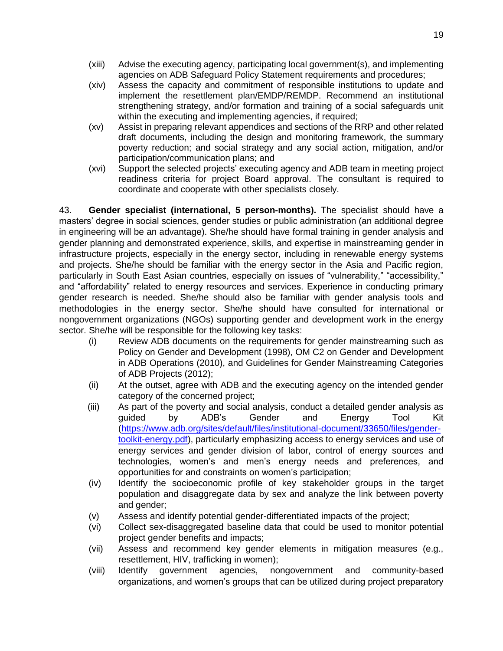- (xiii) Advise the executing agency, participating local government(s), and implementing agencies on ADB Safeguard Policy Statement requirements and procedures;
- (xiv) Assess the capacity and commitment of responsible institutions to update and implement the resettlement plan/EMDP/REMDP. Recommend an institutional strengthening strategy, and/or formation and training of a social safeguards unit within the executing and implementing agencies, if required;
- (xv) Assist in preparing relevant appendices and sections of the RRP and other related draft documents, including the design and monitoring framework, the summary poverty reduction; and social strategy and any social action, mitigation, and/or participation/communication plans; and
- (xvi) Support the selected projects' executing agency and ADB team in meeting project readiness criteria for project Board approval. The consultant is required to coordinate and cooperate with other specialists closely.

43. **Gender specialist (international, 5 person-months).** The specialist should have a masters' degree in social sciences, gender studies or public administration (an additional degree in engineering will be an advantage). She/he should have formal training in gender analysis and gender planning and demonstrated experience, skills, and expertise in mainstreaming gender in infrastructure projects, especially in the energy sector, including in renewable energy systems and projects. She/he should be familiar with the energy sector in the Asia and Pacific region, particularly in South East Asian countries, especially on issues of "vulnerability," "accessibility," and "affordability" related to energy resources and services. Experience in conducting primary gender research is needed. She/he should also be familiar with gender analysis tools and methodologies in the energy sector. She/he should have consulted for international or nongovernment organizations (NGOs) supporting gender and development work in the energy sector. She/he will be responsible for the following key tasks:

- (i) Review ADB documents on the requirements for gender mainstreaming such as Policy on Gender and Development (1998), OM C2 on Gender and Development in ADB Operations (2010), and Guidelines for Gender Mainstreaming Categories of ADB Projects (2012);
- (ii) At the outset, agree with ADB and the executing agency on the intended gender category of the concerned project;
- (iii) As part of the poverty and social analysis, conduct a detailed gender analysis as guided by ADB's Gender and Energy Tool Kit [\(https://www.adb.org/sites/default/files/institutional-document/33650/files/gender](https://www.adb.org/sites/default/files/institutional-document/33650/files/gender-toolkit-energy.pdf)[toolkit-energy.pdf\)](https://www.adb.org/sites/default/files/institutional-document/33650/files/gender-toolkit-energy.pdf), particularly emphasizing access to energy services and use of energy services and gender division of labor, control of energy sources and technologies, women's and men's energy needs and preferences, and opportunities for and constraints on women's participation;
- (iv) Identify the socioeconomic profile of key stakeholder groups in the target population and disaggregate data by sex and analyze the link between poverty and gender;
- (v) Assess and identify potential gender-differentiated impacts of the project;
- (vi) Collect sex-disaggregated baseline data that could be used to monitor potential project gender benefits and impacts;
- (vii) Assess and recommend key gender elements in mitigation measures (e.g., resettlement, HIV, trafficking in women);
- (viii) Identify government agencies, nongovernment and community-based organizations, and women's groups that can be utilized during project preparatory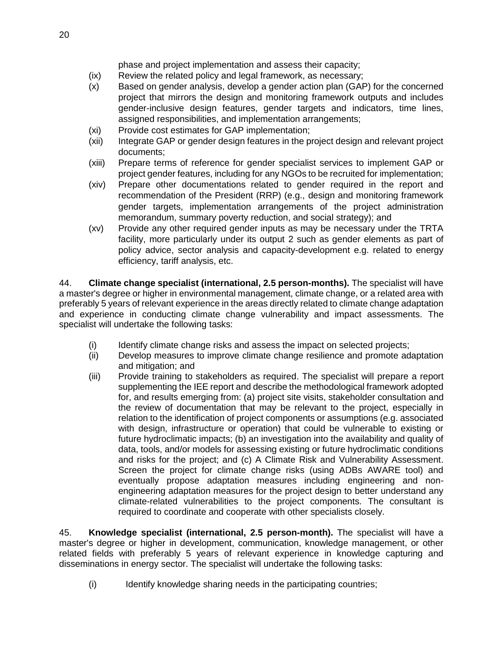phase and project implementation and assess their capacity;

- (ix) Review the related policy and legal framework, as necessary;
- (x) Based on gender analysis, develop a gender action plan (GAP) for the concerned project that mirrors the design and monitoring framework outputs and includes gender-inclusive design features, gender targets and indicators, time lines, assigned responsibilities, and implementation arrangements;
- (xi) Provide cost estimates for GAP implementation;
- (xii) Integrate GAP or gender design features in the project design and relevant project documents;
- (xiii) Prepare terms of reference for gender specialist services to implement GAP or project gender features, including for any NGOs to be recruited for implementation;
- (xiv) Prepare other documentations related to gender required in the report and recommendation of the President (RRP) (e.g., design and monitoring framework gender targets, implementation arrangements of the project administration memorandum, summary poverty reduction, and social strategy); and
- (xv) Provide any other required gender inputs as may be necessary under the TRTA facility, more particularly under its output 2 such as gender elements as part of policy advice, sector analysis and capacity-development e.g. related to energy efficiency, tariff analysis, etc.

44. **Climate change specialist (international, 2.5 person-months).** The specialist will have a master's degree or higher in environmental management, climate change, or a related area with preferably 5 years of relevant experience in the areas directly related to climate change adaptation and experience in conducting climate change vulnerability and impact assessments. The specialist will undertake the following tasks:

- (i) Identify climate change risks and assess the impact on selected projects;
- (ii) Develop measures to improve climate change resilience and promote adaptation and mitigation; and
- (iii) Provide training to stakeholders as required. The specialist will prepare a report supplementing the IEE report and describe the methodological framework adopted for, and results emerging from: (a) project site visits, stakeholder consultation and the review of documentation that may be relevant to the project, especially in relation to the identification of project components or assumptions (e.g. associated with design, infrastructure or operation) that could be vulnerable to existing or future hydroclimatic impacts; (b) an investigation into the availability and quality of data, tools, and/or models for assessing existing or future hydroclimatic conditions and risks for the project; and (c) A Climate Risk and Vulnerability Assessment. Screen the project for climate change risks (using ADBs AWARE tool) and eventually propose adaptation measures including engineering and nonengineering adaptation measures for the project design to better understand any climate-related vulnerabilities to the project components. The consultant is required to coordinate and cooperate with other specialists closely.

45. **Knowledge specialist (international, 2.5 person-month).** The specialist will have a master's degree or higher in development, communication, knowledge management, or other related fields with preferably 5 years of relevant experience in knowledge capturing and disseminations in energy sector. The specialist will undertake the following tasks:

(i) Identify knowledge sharing needs in the participating countries;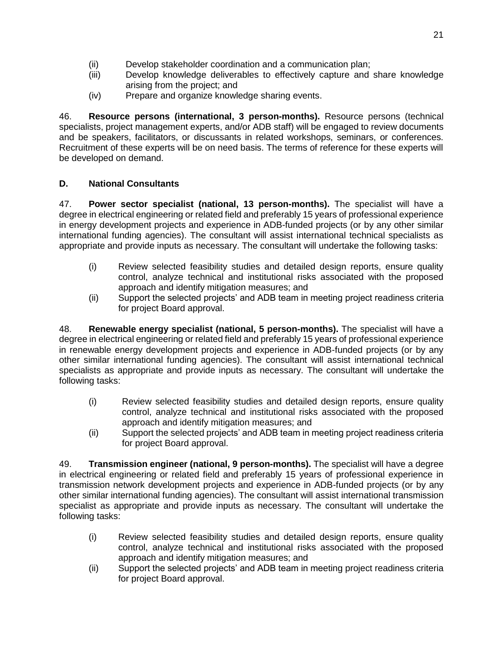- (ii) Develop stakeholder coordination and a communication plan;
- (iii) Develop knowledge deliverables to effectively capture and share knowledge arising from the project; and
- (iv) Prepare and organize knowledge sharing events.

46. **Resource persons (international, 3 person-months).** Resource persons (technical specialists, project management experts, and/or ADB staff) will be engaged to review documents and be speakers, facilitators, or discussants in related workshops, seminars, or conferences. Recruitment of these experts will be on need basis. The terms of reference for these experts will be developed on demand.

# **D. National Consultants**

47. **Power sector specialist (national, 13 person-months).** The specialist will have a degree in electrical engineering or related field and preferably 15 years of professional experience in energy development projects and experience in ADB-funded projects (or by any other similar international funding agencies). The consultant will assist international technical specialists as appropriate and provide inputs as necessary. The consultant will undertake the following tasks:

- (i) Review selected feasibility studies and detailed design reports, ensure quality control, analyze technical and institutional risks associated with the proposed approach and identify mitigation measures; and
- (ii) Support the selected projects' and ADB team in meeting project readiness criteria for project Board approval.

48. **Renewable energy specialist (national, 5 person-months).** The specialist will have a degree in electrical engineering or related field and preferably 15 years of professional experience in renewable energy development projects and experience in ADB-funded projects (or by any other similar international funding agencies). The consultant will assist international technical specialists as appropriate and provide inputs as necessary. The consultant will undertake the following tasks:

- (i) Review selected feasibility studies and detailed design reports, ensure quality control, analyze technical and institutional risks associated with the proposed approach and identify mitigation measures; and
- (ii) Support the selected projects' and ADB team in meeting project readiness criteria for project Board approval.

49. **Transmission engineer (national, 9 person-months).** The specialist will have a degree in electrical engineering or related field and preferably 15 years of professional experience in transmission network development projects and experience in ADB-funded projects (or by any other similar international funding agencies). The consultant will assist international transmission specialist as appropriate and provide inputs as necessary. The consultant will undertake the following tasks:

- (i) Review selected feasibility studies and detailed design reports, ensure quality control, analyze technical and institutional risks associated with the proposed approach and identify mitigation measures; and
- (ii) Support the selected projects' and ADB team in meeting project readiness criteria for project Board approval.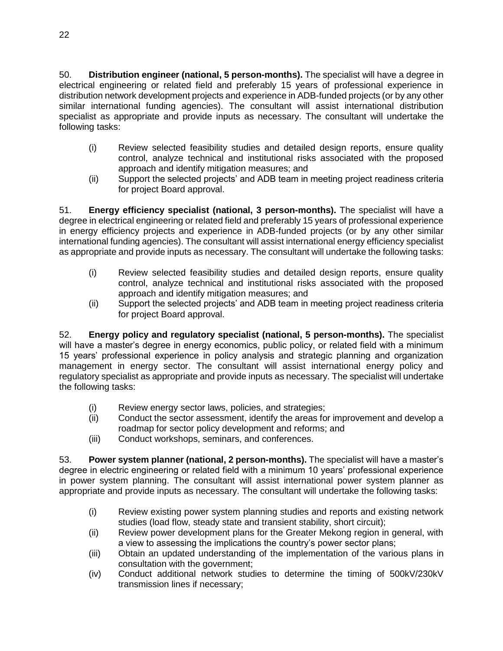50. **Distribution engineer (national, 5 person-months).** The specialist will have a degree in electrical engineering or related field and preferably 15 years of professional experience in distribution network development projects and experience in ADB-funded projects (or by any other similar international funding agencies). The consultant will assist international distribution specialist as appropriate and provide inputs as necessary. The consultant will undertake the following tasks:

- (i) Review selected feasibility studies and detailed design reports, ensure quality control, analyze technical and institutional risks associated with the proposed approach and identify mitigation measures; and
- (ii) Support the selected projects' and ADB team in meeting project readiness criteria for project Board approval.

51. **Energy efficiency specialist (national, 3 person-months).** The specialist will have a degree in electrical engineering or related field and preferably 15 years of professional experience in energy efficiency projects and experience in ADB-funded projects (or by any other similar international funding agencies). The consultant will assist international energy efficiency specialist as appropriate and provide inputs as necessary. The consultant will undertake the following tasks:

- (i) Review selected feasibility studies and detailed design reports, ensure quality control, analyze technical and institutional risks associated with the proposed approach and identify mitigation measures; and
- (ii) Support the selected projects' and ADB team in meeting project readiness criteria for project Board approval.

52. **Energy policy and regulatory specialist (national, 5 person-months).** The specialist will have a master's degree in energy economics, public policy, or related field with a minimum 15 years' professional experience in policy analysis and strategic planning and organization management in energy sector. The consultant will assist international energy policy and regulatory specialist as appropriate and provide inputs as necessary. The specialist will undertake the following tasks:

- (i) Review energy sector laws, policies, and strategies;
- (ii) Conduct the sector assessment, identify the areas for improvement and develop a roadmap for sector policy development and reforms; and
- (iii) Conduct workshops, seminars, and conferences.

53. **Power system planner (national, 2 person-months).** The specialist will have a master's degree in electric engineering or related field with a minimum 10 years' professional experience in power system planning. The consultant will assist international power system planner as appropriate and provide inputs as necessary. The consultant will undertake the following tasks:

- (i) Review existing power system planning studies and reports and existing network studies (load flow, steady state and transient stability, short circuit);
- (ii) Review power development plans for the Greater Mekong region in general, with a view to assessing the implications the country's power sector plans;
- (iii) Obtain an updated understanding of the implementation of the various plans in consultation with the government;
- (iv) Conduct additional network studies to determine the timing of 500kV/230kV transmission lines if necessary;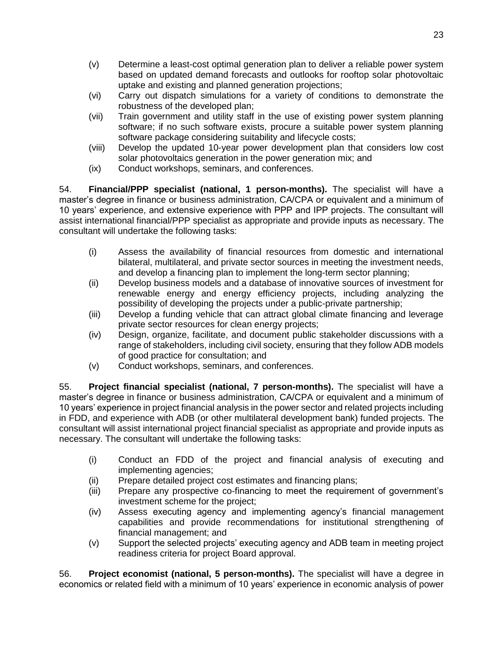- (v) Determine a least-cost optimal generation plan to deliver a reliable power system based on updated demand forecasts and outlooks for rooftop solar photovoltaic uptake and existing and planned generation projections;
- (vi) Carry out dispatch simulations for a variety of conditions to demonstrate the robustness of the developed plan;
- (vii) Train government and utility staff in the use of existing power system planning software; if no such software exists, procure a suitable power system planning software package considering suitability and lifecycle costs;
- (viii) Develop the updated 10-year power development plan that considers low cost solar photovoltaics generation in the power generation mix; and
- (ix) Conduct workshops, seminars, and conferences.

54. **Financial/PPP specialist (national, 1 person-months).** The specialist will have a master's degree in finance or business administration, CA/CPA or equivalent and a minimum of 10 years' experience, and extensive experience with PPP and IPP projects. The consultant will assist international financial/PPP specialist as appropriate and provide inputs as necessary. The consultant will undertake the following tasks:

- (i) Assess the availability of financial resources from domestic and international bilateral, multilateral, and private sector sources in meeting the investment needs, and develop a financing plan to implement the long-term sector planning;
- (ii) Develop business models and a database of innovative sources of investment for renewable energy and energy efficiency projects, including analyzing the possibility of developing the projects under a public-private partnership;
- (iii) Develop a funding vehicle that can attract global climate financing and leverage private sector resources for clean energy projects;
- (iv) Design, organize, facilitate, and document public stakeholder discussions with a range of stakeholders, including civil society, ensuring that they follow ADB models of good practice for consultation; and
- (v) Conduct workshops, seminars, and conferences.

55. **Project financial specialist (national, 7 person-months).** The specialist will have a master's degree in finance or business administration, CA/CPA or equivalent and a minimum of 10 years' experience in project financial analysis in the power sector and related projects including in FDD, and experience with ADB (or other multilateral development bank) funded projects. The consultant will assist international project financial specialist as appropriate and provide inputs as necessary. The consultant will undertake the following tasks:

- (i) Conduct an FDD of the project and financial analysis of executing and implementing agencies;
- (ii) Prepare detailed project cost estimates and financing plans;
- (iii) Prepare any prospective co-financing to meet the requirement of government's investment scheme for the project;
- (iv) Assess executing agency and implementing agency's financial management capabilities and provide recommendations for institutional strengthening of financial management; and
- (v) Support the selected projects' executing agency and ADB team in meeting project readiness criteria for project Board approval.

56. **Project economist (national, 5 person-months).** The specialist will have a degree in economics or related field with a minimum of 10 years' experience in economic analysis of power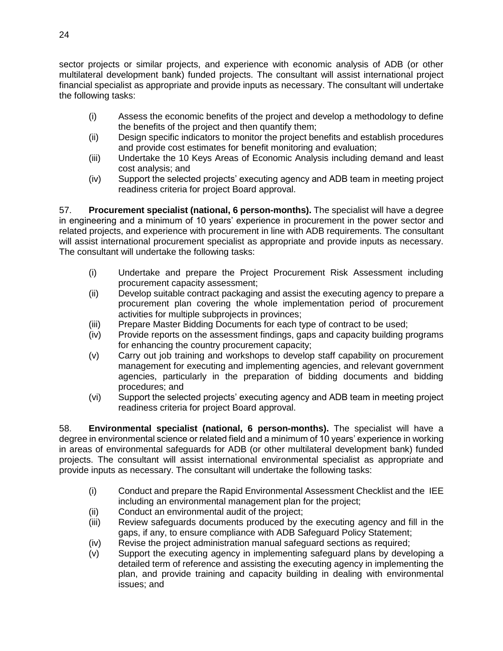sector projects or similar projects, and experience with economic analysis of ADB (or other multilateral development bank) funded projects. The consultant will assist international project financial specialist as appropriate and provide inputs as necessary. The consultant will undertake the following tasks:

- (i) Assess the economic benefits of the project and develop a methodology to define the benefits of the project and then quantify them;
- (ii) Design specific indicators to monitor the project benefits and establish procedures and provide cost estimates for benefit monitoring and evaluation;
- (iii) Undertake the 10 Keys Areas of Economic Analysis including demand and least cost analysis; and
- (iv) Support the selected projects' executing agency and ADB team in meeting project readiness criteria for project Board approval.

57. **Procurement specialist (national, 6 person-months).** The specialist will have a degree in engineering and a minimum of 10 years' experience in procurement in the power sector and related projects, and experience with procurement in line with ADB requirements. The consultant will assist international procurement specialist as appropriate and provide inputs as necessary. The consultant will undertake the following tasks:

- (i) Undertake and prepare the Project Procurement Risk Assessment including procurement capacity assessment;
- (ii) Develop suitable contract packaging and assist the executing agency to prepare a procurement plan covering the whole implementation period of procurement activities for multiple subprojects in provinces;
- (iii) Prepare Master Bidding Documents for each type of contract to be used;
- (iv) Provide reports on the assessment findings, gaps and capacity building programs for enhancing the country procurement capacity;
- (v) Carry out job training and workshops to develop staff capability on procurement management for executing and implementing agencies, and relevant government agencies, particularly in the preparation of bidding documents and bidding procedures; and
- (vi) Support the selected projects' executing agency and ADB team in meeting project readiness criteria for project Board approval.

58. **Environmental specialist (national, 6 person-months).** The specialist will have a degree in environmental science or related field and a minimum of 10 years' experience in working in areas of environmental safeguards for ADB (or other multilateral development bank) funded projects. The consultant will assist international environmental specialist as appropriate and provide inputs as necessary. The consultant will undertake the following tasks:

- (i) Conduct and prepare the Rapid Environmental Assessment Checklist and the IEE including an environmental management plan for the project;
- (ii) Conduct an environmental audit of the project;
- (iii) Review safeguards documents produced by the executing agency and fill in the gaps, if any, to ensure compliance with ADB Safeguard Policy Statement;
- (iv) Revise the project administration manual safeguard sections as required;
- (v) Support the executing agency in implementing safeguard plans by developing a detailed term of reference and assisting the executing agency in implementing the plan, and provide training and capacity building in dealing with environmental issues; and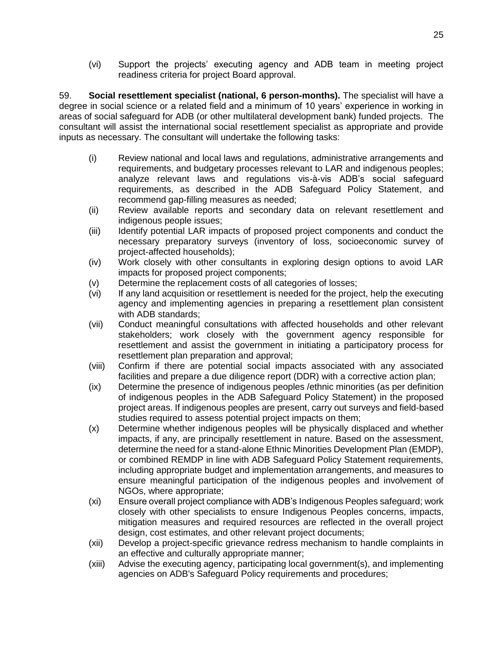(vi) Support the projects' executing agency and ADB team in meeting project readiness criteria for project Board approval.

59. **Social resettlement specialist (national, 6 person-months).** The specialist will have a degree in social science or a related field and a minimum of 10 years' experience in working in areas of social safeguard for ADB (or other multilateral development bank) funded projects. The consultant will assist the international social resettlement specialist as appropriate and provide inputs as necessary. The consultant will undertake the following tasks:

- (i) Review national and local laws and regulations, administrative arrangements and requirements, and budgetary processes relevant to LAR and indigenous peoples; analyze relevant laws and regulations vis-à-vis ADB's social safeguard requirements, as described in the ADB Safeguard Policy Statement, and recommend gap-filling measures as needed;
- (ii) Review available reports and secondary data on relevant resettlement and indigenous people issues;
- (iii) Identify potential LAR impacts of proposed project components and conduct the necessary preparatory surveys (inventory of loss, socioeconomic survey of project-affected households);
- (iv) Work closely with other consultants in exploring design options to avoid LAR impacts for proposed project components;
- (v) Determine the replacement costs of all categories of losses;
- (vi) If any land acquisition or resettlement is needed for the project, help the executing agency and implementing agencies in preparing a resettlement plan consistent with ADB standards;
- (vii) Conduct meaningful consultations with affected households and other relevant stakeholders; work closely with the government agency responsible for resettlement and assist the government in initiating a participatory process for resettlement plan preparation and approval;
- (viii) Confirm if there are potential social impacts associated with any associated facilities and prepare a due diligence report (DDR) with a corrective action plan;
- (ix) Determine the presence of indigenous peoples /ethnic minorities (as per definition of indigenous peoples in the ADB Safeguard Policy Statement) in the proposed project areas. If indigenous peoples are present, carry out surveys and field-based studies required to assess potential project impacts on them;
- (x) Determine whether indigenous peoples will be physically displaced and whether impacts, if any, are principally resettlement in nature. Based on the assessment, determine the need for a stand-alone Ethnic Minorities Development Plan (EMDP), or combined REMDP in line with ADB Safeguard Policy Statement requirements, including appropriate budget and implementation arrangements, and measures to ensure meaningful participation of the indigenous peoples and involvement of NGOs, where appropriate;
- (xi) Ensure overall project compliance with ADB's Indigenous Peoples safeguard; work closely with other specialists to ensure Indigenous Peoples concerns, impacts, mitigation measures and required resources are reflected in the overall project design, cost estimates, and other relevant project documents;
- (xii) Develop a project-specific grievance redress mechanism to handle complaints in an effective and culturally appropriate manner;
- (xiii) Advise the executing agency, participating local government(s), and implementing agencies on ADB's Safeguard Policy requirements and procedures;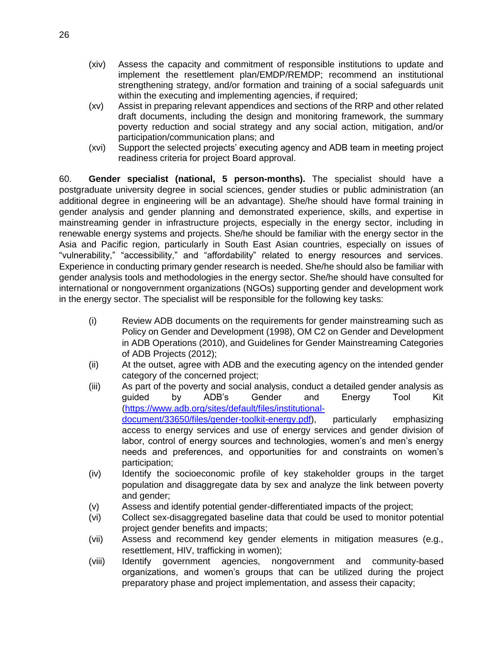- (xiv) Assess the capacity and commitment of responsible institutions to update and implement the resettlement plan/EMDP/REMDP; recommend an institutional strengthening strategy, and/or formation and training of a social safeguards unit within the executing and implementing agencies, if required;
- (xv) Assist in preparing relevant appendices and sections of the RRP and other related draft documents, including the design and monitoring framework, the summary poverty reduction and social strategy and any social action, mitigation, and/or participation/communication plans; and
- (xvi) Support the selected projects' executing agency and ADB team in meeting project readiness criteria for project Board approval.

60. **Gender specialist (national, 5 person-months).** The specialist should have a postgraduate university degree in social sciences, gender studies or public administration (an additional degree in engineering will be an advantage). She/he should have formal training in gender analysis and gender planning and demonstrated experience, skills, and expertise in mainstreaming gender in infrastructure projects, especially in the energy sector, including in renewable energy systems and projects. She/he should be familiar with the energy sector in the Asia and Pacific region, particularly in South East Asian countries, especially on issues of "vulnerability," "accessibility," and "affordability" related to energy resources and services. Experience in conducting primary gender research is needed. She/he should also be familiar with gender analysis tools and methodologies in the energy sector. She/he should have consulted for international or nongovernment organizations (NGOs) supporting gender and development work in the energy sector. The specialist will be responsible for the following key tasks:

- (i) Review ADB documents on the requirements for gender mainstreaming such as Policy on Gender and Development (1998), OM C2 on Gender and Development in ADB Operations (2010), and Guidelines for Gender Mainstreaming Categories of ADB Projects (2012);
- (ii) At the outset, agree with ADB and the executing agency on the intended gender category of the concerned project;
- (iii) As part of the poverty and social analysis, conduct a detailed gender analysis as guided by ADB's Gender and Energy Tool Kit [\(https://www.adb.org/sites/default/files/institutional](https://www.adb.org/sites/default/files/institutional-document/33650/files/gender-toolkit-energy.pdf)[document/33650/files/gender-toolkit-energy.pdf\)](https://www.adb.org/sites/default/files/institutional-document/33650/files/gender-toolkit-energy.pdf), particularly emphasizing access to energy services and use of energy services and gender division of labor, control of energy sources and technologies, women's and men's energy needs and preferences, and opportunities for and constraints on women's participation;
- (iv) Identify the socioeconomic profile of key stakeholder groups in the target population and disaggregate data by sex and analyze the link between poverty and gender;
- (v) Assess and identify potential gender-differentiated impacts of the project;
- (vi) Collect sex-disaggregated baseline data that could be used to monitor potential project gender benefits and impacts;
- (vii) Assess and recommend key gender elements in mitigation measures (e.g., resettlement, HIV, trafficking in women);
- (viii) Identify government agencies, nongovernment and community-based organizations, and women's groups that can be utilized during the project preparatory phase and project implementation, and assess their capacity;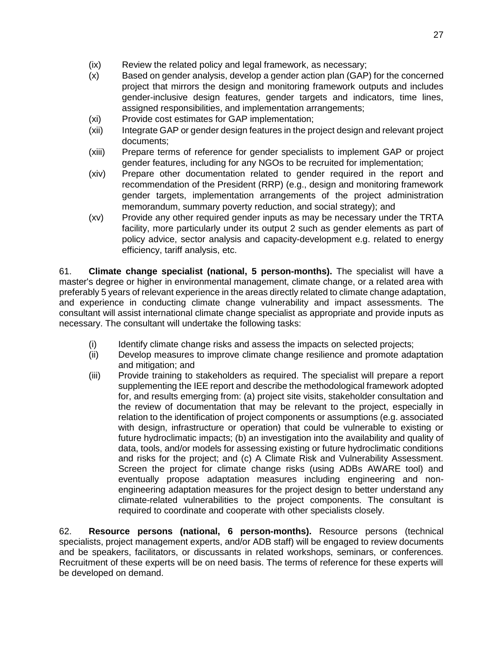- (ix) Review the related policy and legal framework, as necessary;
- (x) Based on gender analysis, develop a gender action plan (GAP) for the concerned project that mirrors the design and monitoring framework outputs and includes gender-inclusive design features, gender targets and indicators, time lines, assigned responsibilities, and implementation arrangements;
- (xi) Provide cost estimates for GAP implementation;
- (xii) Integrate GAP or gender design features in the project design and relevant project documents;
- (xiii) Prepare terms of reference for gender specialists to implement GAP or project gender features, including for any NGOs to be recruited for implementation;
- (xiv) Prepare other documentation related to gender required in the report and recommendation of the President (RRP) (e.g., design and monitoring framework gender targets, implementation arrangements of the project administration memorandum, summary poverty reduction, and social strategy); and
- (xv) Provide any other required gender inputs as may be necessary under the TRTA facility, more particularly under its output 2 such as gender elements as part of policy advice, sector analysis and capacity-development e.g. related to energy efficiency, tariff analysis, etc.

61. **Climate change specialist (national, 5 person-months).** The specialist will have a master's degree or higher in environmental management, climate change, or a related area with preferably 5 years of relevant experience in the areas directly related to climate change adaptation, and experience in conducting climate change vulnerability and impact assessments. The consultant will assist international climate change specialist as appropriate and provide inputs as necessary. The consultant will undertake the following tasks:

- (i) Identify climate change risks and assess the impacts on selected projects;
- (ii) Develop measures to improve climate change resilience and promote adaptation and mitigation; and
- (iii) Provide training to stakeholders as required. The specialist will prepare a report supplementing the IEE report and describe the methodological framework adopted for, and results emerging from: (a) project site visits, stakeholder consultation and the review of documentation that may be relevant to the project, especially in relation to the identification of project components or assumptions (e.g. associated with design, infrastructure or operation) that could be vulnerable to existing or future hydroclimatic impacts; (b) an investigation into the availability and quality of data, tools, and/or models for assessing existing or future hydroclimatic conditions and risks for the project; and (c) A Climate Risk and Vulnerability Assessment. Screen the project for climate change risks (using ADBs AWARE tool) and eventually propose adaptation measures including engineering and nonengineering adaptation measures for the project design to better understand any climate-related vulnerabilities to the project components. The consultant is required to coordinate and cooperate with other specialists closely.

62. **Resource persons (national, 6 person-months).** Resource persons (technical specialists, project management experts, and/or ADB staff) will be engaged to review documents and be speakers, facilitators, or discussants in related workshops, seminars, or conferences. Recruitment of these experts will be on need basis. The terms of reference for these experts will be developed on demand.